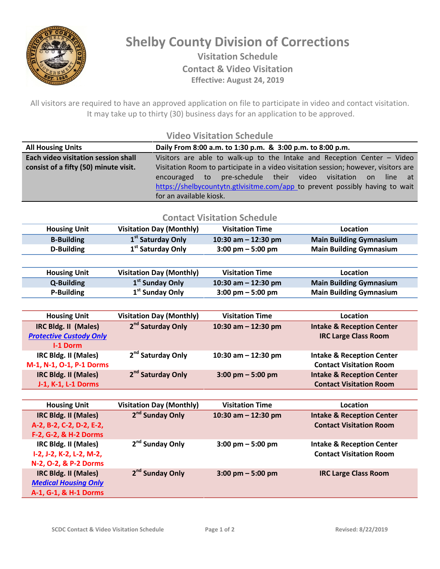

## **Shelby County Division of Corrections Visitation Schedule Contact & Video Visitation Effective: August 24, 2019**

All visitors are required to have an approved application on file to participate in video and contact visitation. It may take up to thirty (30) business days for an application to be approved.

## **Video Visitation Schedule**

| <b>All Housing Units</b>              | Daily From 8:00 a.m. to 1:30 p.m. & 3:00 p.m. to 8:00 p.m.                          |  |  |
|---------------------------------------|-------------------------------------------------------------------------------------|--|--|
| Each video visitation session shall   | Visitors are able to walk-up to the Intake and Reception Center $-$ Video           |  |  |
| consist of a fifty (50) minute visit. | Visitation Room to participate in a video visitation session; however, visitors are |  |  |
|                                       | pre-schedule their video visitation<br>encouraged to<br>on<br>line at               |  |  |
|                                       | https://shelbycountytn.gtlvisitme.com/app to prevent possibly having to wait        |  |  |
|                                       | for an available kiosk.                                                             |  |  |

## **Contact Visitation Schedule**

| <b>Housing Unit</b> | Visitation Day (Monthly)      | <b>Visitation Time</b>              | Location                       |
|---------------------|-------------------------------|-------------------------------------|--------------------------------|
| <b>B-Building</b>   | 1 <sup>st</sup> Saturday Only | 10:30 am $-$ 12:30 pm               | <b>Main Building Gymnasium</b> |
| D-Building          | 1 <sup>st</sup> Saturday Only | $3:00 \text{ pm} - 5:00 \text{ pm}$ | <b>Main Building Gymnasium</b> |

| <b>Housing Unit</b> | Visitation Day (Monthly)    | <b>Visitation Time</b>              | Location                       |
|---------------------|-----------------------------|-------------------------------------|--------------------------------|
| Q-Building          | 1 <sup>st</sup> Sunday Only | 10:30 am $-$ 12:30 pm               | <b>Main Building Gymnasium</b> |
| P-Building          | 1 <sup>st</sup> Sunday Only | $3:00 \text{ pm} - 5:00 \text{ pm}$ | <b>Main Building Gymnasium</b> |

| <b>Housing Unit</b>            | <b>Visitation Day (Monthly)</b> | <b>Visitation Time</b>              | Location                             |
|--------------------------------|---------------------------------|-------------------------------------|--------------------------------------|
| IRC Bldg. II (Males)           | 2 <sup>nd</sup> Saturday Only   | 10:30 am $-$ 12:30 pm               | <b>Intake &amp; Reception Center</b> |
| <b>Protective Custody Only</b> |                                 |                                     | <b>IRC Large Class Room</b>          |
| <b>I-1 Dorm</b>                |                                 |                                     |                                      |
| IRC Bldg. II (Males)           | 2 <sup>nd</sup> Saturday Only   | 10:30 am $-$ 12:30 pm               | <b>Intake &amp; Reception Center</b> |
| M-1, N-1, O-1, P-1 Dorms       |                                 |                                     | <b>Contact Visitation Room</b>       |
| IRC Bldg. II (Males)           | 2 <sup>nd</sup> Saturday Only   | $3:00 \text{ pm} - 5:00 \text{ pm}$ | <b>Intake &amp; Reception Center</b> |
| J-1, K-1, L-1 Dorms            |                                 |                                     | <b>Contact Visitation Room</b>       |

| <b>Housing Unit</b>         | <b>Visitation Day (Monthly)</b> | <b>Visitation Time</b>              | Location                             |
|-----------------------------|---------------------------------|-------------------------------------|--------------------------------------|
| <b>IRC Bldg. II (Males)</b> | 2 <sup>nd</sup> Sunday Only     | 10:30 am $-$ 12:30 pm               | <b>Intake &amp; Reception Center</b> |
| A-2, B-2, C-2, D-2, E-2,    |                                 |                                     | <b>Contact Visitation Room</b>       |
| F-2, G-2, & H-2 Dorms       |                                 |                                     |                                      |
| IRC Bldg. II (Males)        | 2 <sup>nd</sup> Sunday Only     | $3:00 \text{ pm} - 5:00 \text{ pm}$ | <b>Intake &amp; Reception Center</b> |
| I-2, J-2, K-2, L-2, M-2,    |                                 |                                     | <b>Contact Visitation Room</b>       |
| N-2, O-2, & P-2 Dorms       |                                 |                                     |                                      |
| IRC Bldg. II (Males)        | 2 <sup>nd</sup> Sunday Only     | $3:00 \text{ pm} - 5:00 \text{ pm}$ | <b>IRC Large Class Room</b>          |
| <b>Medical Housing Only</b> |                                 |                                     |                                      |
| A-1, G-1, & H-1 Dorms       |                                 |                                     |                                      |